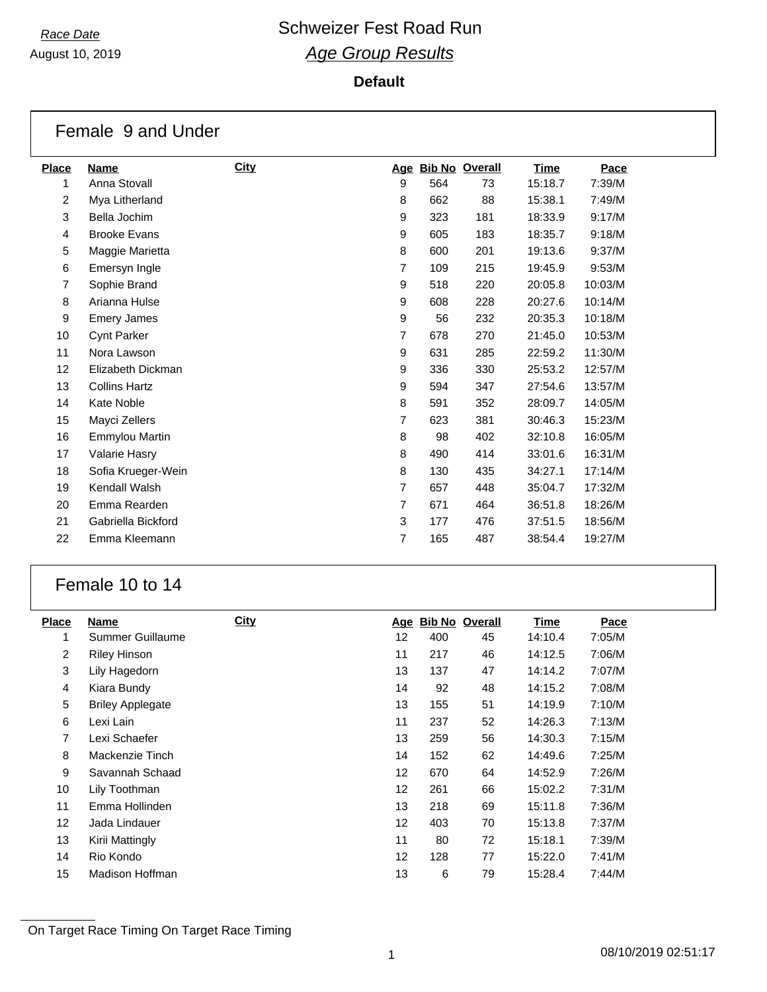August 10, 2019

## **Default**

|                | Female 9 and Under   |             |   |     |                    |         |         |
|----------------|----------------------|-------------|---|-----|--------------------|---------|---------|
| <b>Place</b>   | <b>Name</b>          | <b>City</b> |   |     | Age Bib No Overall | Time    | Pace    |
| 1              | Anna Stovall         |             | 9 | 564 | 73                 | 15:18.7 | 7:39/M  |
| 2              | Mya Litherland       |             | 8 | 662 | 88                 | 15:38.1 | 7:49/M  |
| 3              | Bella Jochim         |             | 9 | 323 | 181                | 18:33.9 | 9:17/M  |
| $\overline{4}$ | <b>Brooke Evans</b>  |             | 9 | 605 | 183                | 18:35.7 | 9:18/M  |
| 5              | Maggie Marietta      |             | 8 | 600 | 201                | 19:13.6 | 9:37/M  |
| 6              | Emersyn Ingle        |             | 7 | 109 | 215                | 19:45.9 | 9:53/M  |
| 7              | Sophie Brand         |             | 9 | 518 | 220                | 20:05.8 | 10:03/M |
| 8              | Arianna Hulse        |             | 9 | 608 | 228                | 20:27.6 | 10:14/M |
| 9              | <b>Emery James</b>   |             | 9 | 56  | 232                | 20:35.3 | 10:18/M |
| 10             | <b>Cynt Parker</b>   |             | 7 | 678 | 270                | 21:45.0 | 10:53/M |
| 11             | Nora Lawson          |             | 9 | 631 | 285                | 22:59.2 | 11:30/M |
| 12             | Elizabeth Dickman    |             | 9 | 336 | 330                | 25:53.2 | 12:57/M |
| 13             | <b>Collins Hartz</b> |             | 9 | 594 | 347                | 27:54.6 | 13:57/M |
| 14             | Kate Noble           |             | 8 | 591 | 352                | 28:09.7 | 14:05/M |
| 15             | Mayci Zellers        |             | 7 | 623 | 381                | 30:46.3 | 15:23/M |
| 16             | Emmylou Martin       |             | 8 | 98  | 402                | 32:10.8 | 16:05/M |
| 17             | Valarie Hasry        |             | 8 | 490 | 414                | 33:01.6 | 16:31/M |
| 18             | Sofia Krueger-Wein   |             | 8 | 130 | 435                | 34:27.1 | 17:14/M |
| 19             | Kendall Walsh        |             | 7 | 657 | 448                | 35:04.7 | 17:32/M |
| 20             | Emma Rearden         |             | 7 | 671 | 464                | 36:51.8 | 18:26/M |
| 21             | Gabriella Bickford   |             | 3 | 177 | 476                | 37:51.5 | 18:56/M |
| 22             | Emma Kleemann        |             | 7 | 165 | 487                | 38:54.4 | 19:27/M |

## Female 10 to 14

| <b>Place</b>      | Name                    | <b>City</b> | <u>Age</u>        | <b>Bib No Overall</b> |    | <b>Time</b> | Pace   |
|-------------------|-------------------------|-------------|-------------------|-----------------------|----|-------------|--------|
| 1                 | Summer Guillaume        |             | 12                | 400                   | 45 | 14:10.4     | 7:05/M |
| 2                 | <b>Riley Hinson</b>     |             | 11                | 217                   | 46 | 14:12.5     | 7:06/M |
| 3                 | Lily Hagedorn           |             | 13                | 137                   | 47 | 14:14.2     | 7:07/M |
| 4                 | Kiara Bundy             |             | 14                | 92                    | 48 | 14:15.2     | 7:08/M |
| 5                 | <b>Briley Applegate</b> |             | 13                | 155                   | 51 | 14:19.9     | 7:10/M |
| 6                 | Lexi Lain               |             | 11                | 237                   | 52 | 14:26.3     | 7:13/M |
| 7                 | Lexi Schaefer           |             | 13                | 259                   | 56 | 14:30.3     | 7:15/M |
| 8                 | Mackenzie Tinch         |             | 14                | 152                   | 62 | 14:49.6     | 7:25/M |
| 9                 | Savannah Schaad         |             | $12 \overline{ }$ | 670                   | 64 | 14:52.9     | 7:26/M |
| 10                | Lily Toothman           |             | $12 \overline{ }$ | 261                   | 66 | 15:02.2     | 7:31/M |
| 11                | Emma Hollinden          |             | 13                | 218                   | 69 | 15:11.8     | 7:36/M |
| $12 \overline{ }$ | Jada Lindauer           |             | $12 \overline{ }$ | 403                   | 70 | 15:13.8     | 7:37/M |
| 13                | Kirii Mattingly         |             | 11                | 80                    | 72 | 15:18.1     | 7:39/M |
| 14                | Rio Kondo               |             | 12                | 128                   | 77 | 15:22.0     | 7:41/M |
| 15                | Madison Hoffman         |             | 13                | 6                     | 79 | 15:28.4     | 7:44/M |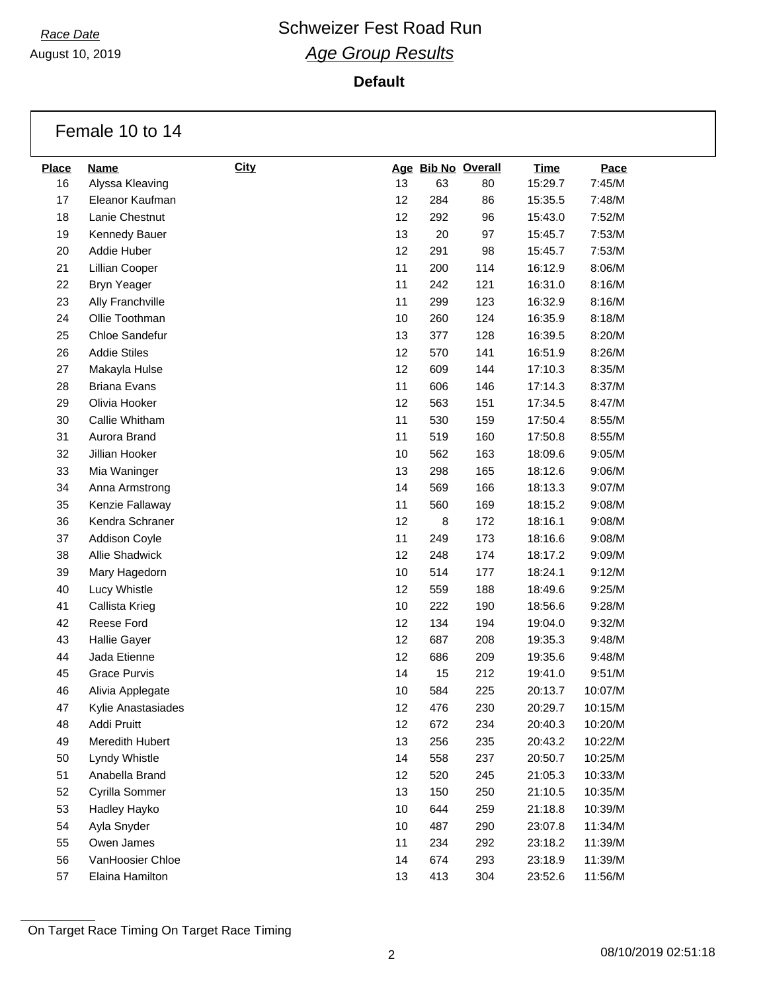August 10, 2019

**Default**

|              | Female 10 to 14     |      |    |     |                    |             |         |
|--------------|---------------------|------|----|-----|--------------------|-------------|---------|
| <b>Place</b> | <b>Name</b>         | City |    |     | Age Bib No Overall | <b>Time</b> | Pace    |
| 16           | Alyssa Kleaving     |      | 13 | 63  | 80                 | 15:29.7     | 7:45/M  |
| 17           | Eleanor Kaufman     |      | 12 | 284 | 86                 | 15:35.5     | 7:48/M  |
| 18           | Lanie Chestnut      |      | 12 | 292 | 96                 | 15:43.0     | 7:52/M  |
| 19           | Kennedy Bauer       |      | 13 | 20  | 97                 | 15:45.7     | 7:53/M  |
| 20           | Addie Huber         |      | 12 | 291 | 98                 | 15:45.7     | 7:53/M  |
| 21           | Lillian Cooper      |      | 11 | 200 | 114                | 16:12.9     | 8:06/M  |
| 22           | <b>Bryn Yeager</b>  |      | 11 | 242 | 121                | 16:31.0     | 8:16/M  |
| 23           | Ally Franchville    |      | 11 | 299 | 123                | 16:32.9     | 8:16/M  |
| 24           | Ollie Toothman      |      | 10 | 260 | 124                | 16:35.9     | 8:18/M  |
| 25           | Chloe Sandefur      |      | 13 | 377 | 128                | 16:39.5     | 8:20/M  |
| 26           | <b>Addie Stiles</b> |      | 12 | 570 | 141                | 16:51.9     | 8:26/M  |
| 27           | Makayla Hulse       |      | 12 | 609 | 144                | 17:10.3     | 8:35/M  |
| 28           | <b>Briana Evans</b> |      | 11 | 606 | 146                | 17:14.3     | 8:37/M  |
| 29           | Olivia Hooker       |      | 12 | 563 | 151                | 17:34.5     | 8:47/M  |
| 30           | Callie Whitham      |      | 11 | 530 | 159                | 17:50.4     | 8:55/M  |
| 31           | Aurora Brand        |      | 11 | 519 | 160                | 17:50.8     | 8:55/M  |
| 32           | Jillian Hooker      |      | 10 | 562 | 163                | 18:09.6     | 9:05/M  |
| 33           | Mia Waninger        |      | 13 | 298 | 165                | 18:12.6     | 9:06/M  |
| 34           | Anna Armstrong      |      | 14 | 569 | 166                | 18:13.3     | 9:07/M  |
| 35           | Kenzie Fallaway     |      | 11 | 560 | 169                | 18:15.2     | 9:08/M  |
| 36           | Kendra Schraner     |      | 12 | 8   | 172                | 18:16.1     | 9:08/M  |
| 37           | Addison Coyle       |      | 11 | 249 | 173                | 18:16.6     | 9:08/M  |
| 38           | Allie Shadwick      |      | 12 | 248 | 174                | 18:17.2     | 9:09/M  |
| 39           | Mary Hagedorn       |      | 10 | 514 | 177                | 18:24.1     | 9:12/M  |
| 40           | Lucy Whistle        |      | 12 | 559 | 188                | 18:49.6     | 9:25/M  |
| 41           | Callista Krieg      |      | 10 | 222 | 190                | 18:56.6     | 9:28/M  |
| 42           | Reese Ford          |      | 12 | 134 | 194                | 19:04.0     | 9:32/M  |
| 43           | <b>Hallie Gayer</b> |      | 12 | 687 | 208                | 19:35.3     | 9:48/M  |
| 44           | Jada Etienne        |      | 12 | 686 | 209                | 19:35.6     | 9:48/M  |
| 45           | <b>Grace Purvis</b> |      | 14 | 15  | 212                | 19:41.0     | 9:51/M  |
| 46           | Alivia Applegate    |      | 10 | 584 | 225                | 20:13.7     | 10:07/M |
| 47           | Kylie Anastasiades  |      | 12 | 476 | 230                | 20:29.7     | 10:15/M |
| 48           | Addi Pruitt         |      | 12 | 672 | 234                | 20:40.3     | 10:20/M |
| 49           | Meredith Hubert     |      | 13 | 256 | 235                | 20:43.2     | 10:22/M |
| 50           | Lyndy Whistle       |      | 14 | 558 | 237                | 20:50.7     | 10:25/M |
| 51           | Anabella Brand      |      | 12 | 520 | 245                | 21:05.3     | 10:33/M |
| 52           | Cyrilla Sommer      |      | 13 | 150 | 250                | 21:10.5     | 10:35/M |
| 53           | Hadley Hayko        |      | 10 | 644 | 259                | 21:18.8     | 10:39/M |
| 54           | Ayla Snyder         |      | 10 | 487 | 290                | 23:07.8     | 11:34/M |
| 55           | Owen James          |      | 11 | 234 | 292                | 23:18.2     | 11:39/M |
| 56           | VanHoosier Chloe    |      | 14 | 674 | 293                | 23:18.9     | 11:39/M |
| 57           | Elaina Hamilton     |      | 13 | 413 | 304                | 23:52.6     | 11:56/M |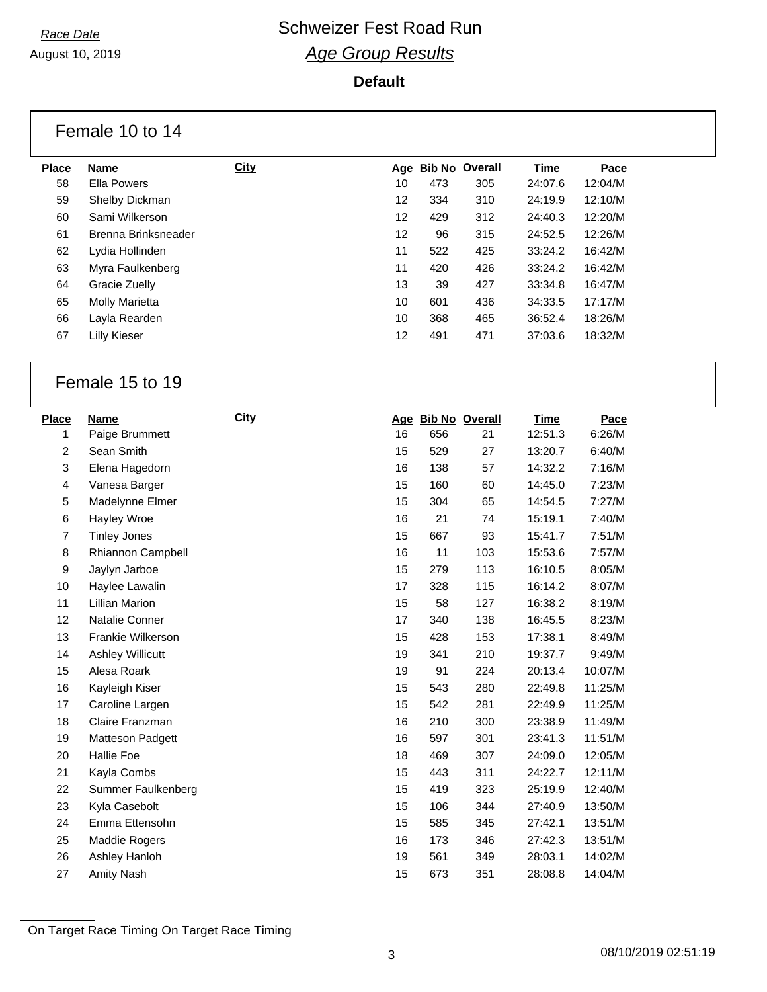August 10, 2019

## **Default**

|              | Female 10 to 14       |             |     |     |                       |         |         |
|--------------|-----------------------|-------------|-----|-----|-----------------------|---------|---------|
| <b>Place</b> | Name                  | <b>City</b> | Age |     | <b>Bib No Overall</b> | Time    | Pace    |
| 58           | Ella Powers           |             | 10  | 473 | 305                   | 24:07.6 | 12:04/M |
| 59           | Shelby Dickman        |             | 12  | 334 | 310                   | 24:19.9 | 12:10/M |
| 60           | Sami Wilkerson        |             | 12  | 429 | 312                   | 24:40.3 | 12:20/M |
| 61           | Brenna Brinksneader   |             | 12  | 96  | 315                   | 24:52.5 | 12:26/M |
| 62           | Lydia Hollinden       |             | 11  | 522 | 425                   | 33:24.2 | 16:42/M |
| 63           | Myra Faulkenberg      |             | 11  | 420 | 426                   | 33:24.2 | 16:42/M |
| 64           | Gracie Zuelly         |             | 13  | 39  | 427                   | 33:34.8 | 16:47/M |
| 65           | <b>Molly Marietta</b> |             | 10  | 601 | 436                   | 34:33.5 | 17:17/M |
| 66           | Layla Rearden         |             | 10  | 368 | 465                   | 36:52.4 | 18:26/M |
| 67           | Lilly Kieser          |             | 12  | 491 | 471                   | 37:03.6 | 18:32/M |

## Female 15 to 19

| <b>Place</b>   | Name                    | <b>City</b> |    | Age Bib No Overall |     | <b>Time</b> | Pace    |
|----------------|-------------------------|-------------|----|--------------------|-----|-------------|---------|
| 1              | Paige Brummett          |             | 16 | 656                | 21  | 12:51.3     | 6:26/M  |
| $\overline{c}$ | Sean Smith              |             | 15 | 529                | 27  | 13:20.7     | 6:40/M  |
| 3              | Elena Hagedorn          |             | 16 | 138                | 57  | 14:32.2     | 7:16/M  |
| 4              | Vanesa Barger           |             | 15 | 160                | 60  | 14:45.0     | 7:23/M  |
| 5              | Madelynne Elmer         |             | 15 | 304                | 65  | 14:54.5     | 7:27/M  |
| 6              | Hayley Wroe             |             | 16 | 21                 | 74  | 15:19.1     | 7:40/M  |
| $\overline{7}$ | <b>Tinley Jones</b>     |             | 15 | 667                | 93  | 15:41.7     | 7:51/M  |
| 8              | Rhiannon Campbell       |             | 16 | 11                 | 103 | 15:53.6     | 7:57/M  |
| 9              | Jaylyn Jarboe           |             | 15 | 279                | 113 | 16:10.5     | 8:05/M  |
| 10             | Haylee Lawalin          |             | 17 | 328                | 115 | 16:14.2     | 8:07/M  |
| 11             | <b>Lillian Marion</b>   |             | 15 | 58                 | 127 | 16:38.2     | 8:19/M  |
| 12             | Natalie Conner          |             | 17 | 340                | 138 | 16:45.5     | 8:23/M  |
| 13             | Frankie Wilkerson       |             | 15 | 428                | 153 | 17:38.1     | 8:49/M  |
| 14             | <b>Ashley Willicutt</b> |             | 19 | 341                | 210 | 19:37.7     | 9:49/M  |
| 15             | Alesa Roark             |             | 19 | 91                 | 224 | 20:13.4     | 10:07/M |
| 16             | Kayleigh Kiser          |             | 15 | 543                | 280 | 22:49.8     | 11:25/M |
| 17             | Caroline Largen         |             | 15 | 542                | 281 | 22:49.9     | 11:25/M |
| 18             | Claire Franzman         |             | 16 | 210                | 300 | 23:38.9     | 11:49/M |
| 19             | Matteson Padgett        |             | 16 | 597                | 301 | 23:41.3     | 11:51/M |
| 20             | <b>Hallie Foe</b>       |             | 18 | 469                | 307 | 24:09.0     | 12:05/M |
| 21             | Kayla Combs             |             | 15 | 443                | 311 | 24:22.7     | 12:11/M |
| 22             | Summer Faulkenberg      |             | 15 | 419                | 323 | 25:19.9     | 12:40/M |
| 23             | Kyla Casebolt           |             | 15 | 106                | 344 | 27:40.9     | 13:50/M |
| 24             | Emma Ettensohn          |             | 15 | 585                | 345 | 27:42.1     | 13:51/M |
| 25             | Maddie Rogers           |             | 16 | 173                | 346 | 27:42.3     | 13:51/M |
| 26             | Ashley Hanloh           |             | 19 | 561                | 349 | 28:03.1     | 14:02/M |
| 27             | <b>Amity Nash</b>       |             | 15 | 673                | 351 | 28:08.8     | 14:04/M |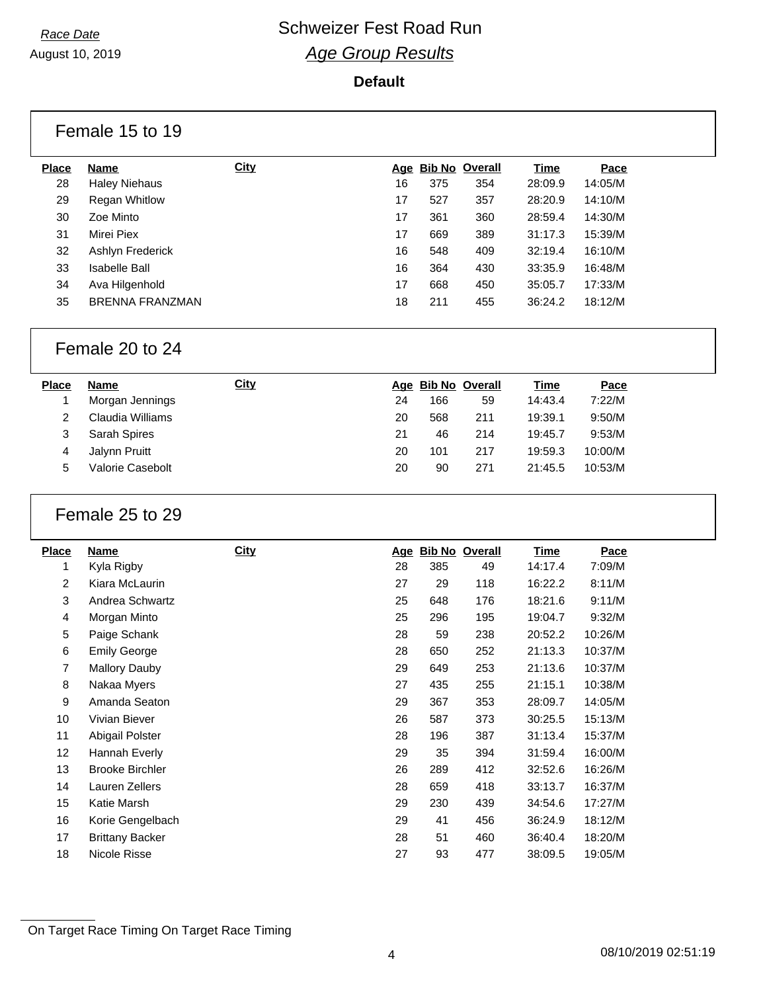#### August 10, 2019

#### **Default**

|              | Female 15 to 19        |             |    |     |                    |         |         |
|--------------|------------------------|-------------|----|-----|--------------------|---------|---------|
| <b>Place</b> | Name                   | <b>City</b> |    |     | Age Bib No Overall | Time    | Pace    |
| 28           | <b>Haley Niehaus</b>   |             | 16 | 375 | 354                | 28:09.9 | 14:05/M |
| 29           | <b>Regan Whitlow</b>   |             | 17 | 527 | 357                | 28:20.9 | 14:10/M |
| 30           | Zoe Minto              |             | 17 | 361 | 360                | 28:59.4 | 14:30/M |
| 31           | Mirei Piex             |             | 17 | 669 | 389                | 31:17.3 | 15:39/M |
| 32           | Ashlyn Frederick       |             | 16 | 548 | 409                | 32:19.4 | 16:10/M |
| 33           | <b>Isabelle Ball</b>   |             | 16 | 364 | 430                | 33:35.9 | 16:48/M |
| 34           | Ava Hilgenhold         |             | 17 | 668 | 450                | 35:05.7 | 17:33/M |
| 35           | <b>BRENNA FRANZMAN</b> |             | 18 | 211 | 455                | 36:24.2 | 18:12/M |

## Female 20 to 24

| <b>Place</b> | <b>Name</b>         | <u>City</u> |    | Age Bib No Overall |     | <u>Time</u> | <b>Pace</b> |
|--------------|---------------------|-------------|----|--------------------|-----|-------------|-------------|
|              | Morgan Jennings     |             | 24 | 166                | 59  | 14:43.4     | 7:22/M      |
|              | Claudia Williams    |             | 20 | 568                | 211 | 19:39.1     | 9:50/M      |
|              | <b>Sarah Spires</b> |             | 21 | 46                 | 214 | 19:45.7     | 9:53/M      |
|              | Jalynn Pruitt       |             | 20 | 101                | 217 | 19:59.3     | 10:00/M     |
| 5            | Valorie Casebolt    |             | 20 | 90                 | 271 | 21:45.5     | 10:53/M     |

## Female 25 to 29

| <b>Place</b> | Name                   | <b>City</b> | <u>Age</u> |     | <b>Bib No Overall</b> | <u>Time</u> | Pace    |
|--------------|------------------------|-------------|------------|-----|-----------------------|-------------|---------|
| 1            | Kyla Rigby             |             | 28         | 385 | 49                    | 14:17.4     | 7:09/M  |
| 2            | Kiara McLaurin         |             | 27         | 29  | 118                   | 16:22.2     | 8:11/M  |
| 3            | Andrea Schwartz        |             | 25         | 648 | 176                   | 18:21.6     | 9:11/M  |
| 4            | Morgan Minto           |             | 25         | 296 | 195                   | 19:04.7     | 9:32/M  |
| 5            | Paige Schank           |             | 28         | 59  | 238                   | 20:52.2     | 10:26/M |
| 6            | <b>Emily George</b>    |             | 28         | 650 | 252                   | 21:13.3     | 10:37/M |
| 7            | Mallory Dauby          |             | 29         | 649 | 253                   | 21:13.6     | 10:37/M |
| 8            | Nakaa Myers            |             | 27         | 435 | 255                   | 21:15.1     | 10:38/M |
| 9            | Amanda Seaton          |             | 29         | 367 | 353                   | 28:09.7     | 14:05/M |
| 10           | Vivian Biever          |             | 26         | 587 | 373                   | 30:25.5     | 15:13/M |
| 11           | Abigail Polster        |             | 28         | 196 | 387                   | 31:13.4     | 15:37/M |
| 12           | Hannah Everly          |             | 29         | 35  | 394                   | 31:59.4     | 16:00/M |
| 13           | <b>Brooke Birchler</b> |             | 26         | 289 | 412                   | 32:52.6     | 16:26/M |
| 14           | Lauren Zellers         |             | 28         | 659 | 418                   | 33:13.7     | 16:37/M |
| 15           | Katie Marsh            |             | 29         | 230 | 439                   | 34:54.6     | 17:27/M |
| 16           | Korie Gengelbach       |             | 29         | 41  | 456                   | 36:24.9     | 18:12/M |
| 17           | <b>Brittany Backer</b> |             | 28         | 51  | 460                   | 36:40.4     | 18:20/M |
| 18           | Nicole Risse           |             | 27         | 93  | 477                   | 38:09.5     | 19:05/M |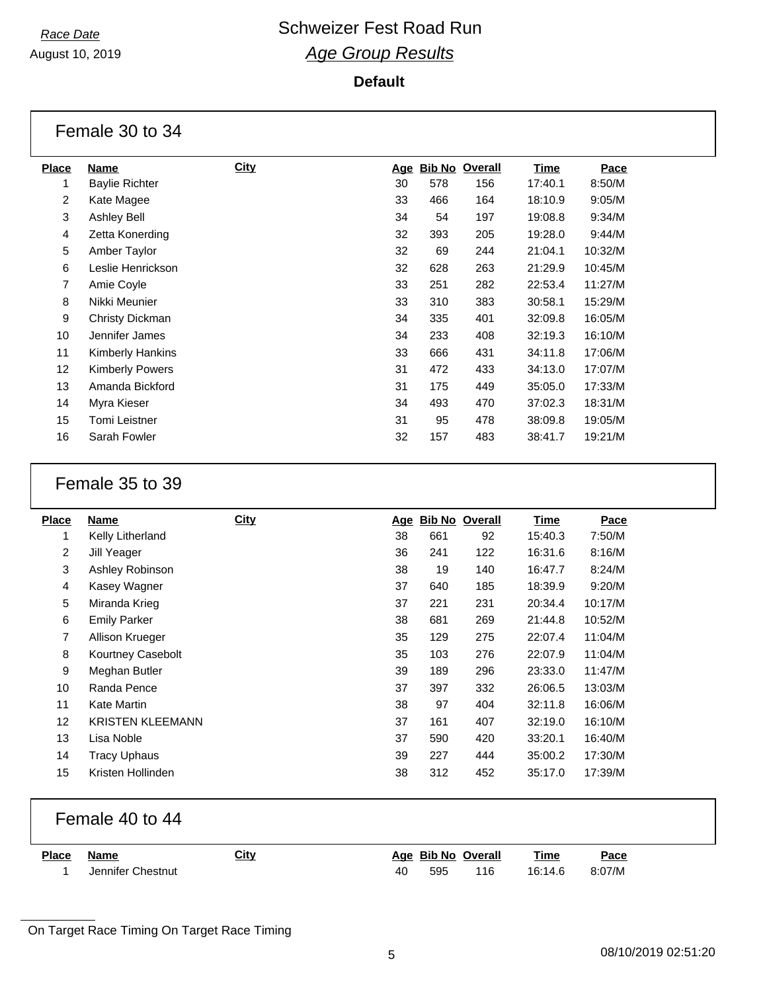August 10, 2019

#### **Default**

|                   | Female 30 to 34        |             |            |     |                       |             |         |
|-------------------|------------------------|-------------|------------|-----|-----------------------|-------------|---------|
| <b>Place</b>      | Name                   | <b>City</b> | <u>Age</u> |     | <b>Bib No Overall</b> | <u>Time</u> | Pace    |
| 1                 | <b>Baylie Richter</b>  |             | 30         | 578 | 156                   | 17:40.1     | 8:50/M  |
| 2                 | Kate Magee             |             | 33         | 466 | 164                   | 18:10.9     | 9:05/M  |
| 3                 | Ashley Bell            |             | 34         | 54  | 197                   | 19:08.8     | 9:34/M  |
| 4                 | Zetta Konerding        |             | 32         | 393 | 205                   | 19:28.0     | 9:44/M  |
| 5                 | Amber Taylor           |             | 32         | 69  | 244                   | 21:04.1     | 10:32/M |
| 6                 | Leslie Henrickson      |             | 32         | 628 | 263                   | 21:29.9     | 10:45/M |
| $\overline{7}$    | Amie Coyle             |             | 33         | 251 | 282                   | 22:53.4     | 11:27/M |
| 8                 | Nikki Meunier          |             | 33         | 310 | 383                   | 30:58.1     | 15:29/M |
| 9                 | Christy Dickman        |             | 34         | 335 | 401                   | 32:09.8     | 16:05/M |
| 10                | Jennifer James         |             | 34         | 233 | 408                   | 32:19.3     | 16:10/M |
| 11                | Kimberly Hankins       |             | 33         | 666 | 431                   | 34:11.8     | 17:06/M |
| $12 \overline{ }$ | <b>Kimberly Powers</b> |             | 31         | 472 | 433                   | 34:13.0     | 17:07/M |
| 13                | Amanda Bickford        |             | 31         | 175 | 449                   | 35:05.0     | 17:33/M |
| 14                | Myra Kieser            |             | 34         | 493 | 470                   | 37:02.3     | 18:31/M |
| 15                | <b>Tomi Leistner</b>   |             | 31         | 95  | 478                   | 38:09.8     | 19:05/M |
| 16                | Sarah Fowler           |             | 32         | 157 | 483                   | 38:41.7     | 19:21/M |

## Female 35 to 39

| <b>Place</b>   | Name                    | <b>City</b> | <u>Age</u> | <b>Bib No Overall</b> |     | Time    | Pace    |
|----------------|-------------------------|-------------|------------|-----------------------|-----|---------|---------|
| 1              | Kelly Litherland        |             | 38         | 661                   | 92  | 15:40.3 | 7:50/M  |
| $\overline{2}$ | Jill Yeager             |             | 36         | 241                   | 122 | 16:31.6 | 8:16/M  |
| 3              | Ashley Robinson         |             | 38         | 19                    | 140 | 16:47.7 | 8:24/M  |
| 4              | Kasey Wagner            |             | 37         | 640                   | 185 | 18:39.9 | 9:20/M  |
| 5              | Miranda Krieg           |             | 37         | 221                   | 231 | 20:34.4 | 10:17/M |
| 6              | <b>Emily Parker</b>     |             | 38         | 681                   | 269 | 21:44.8 | 10:52/M |
| 7              | Allison Krueger         |             | 35         | 129                   | 275 | 22:07.4 | 11:04/M |
| 8              | Kourtney Casebolt       |             | 35         | 103                   | 276 | 22:07.9 | 11:04/M |
| 9              | Meghan Butler           |             | 39         | 189                   | 296 | 23:33.0 | 11:47/M |
| 10             | Randa Pence             |             | 37         | 397                   | 332 | 26:06.5 | 13:03/M |
| 11             | Kate Martin             |             | 38         | 97                    | 404 | 32:11.8 | 16:06/M |
| 12             | <b>KRISTEN KLEEMANN</b> |             | 37         | 161                   | 407 | 32:19.0 | 16:10/M |
| 13             | Lisa Noble              |             | 37         | 590                   | 420 | 33:20.1 | 16:40/M |
| 14             | <b>Tracy Uphaus</b>     |             | 39         | 227                   | 444 | 35:00.2 | 17:30/M |
| 15             | Kristen Hollinden       |             | 38         | 312                   | 452 | 35:17.0 | 17:39/M |
|                |                         |             |            |                       |     |         |         |

## Female 40 to 44

| <b>Place</b> | Name              | <u>City</u> |    | Age Bib No Overall |     | <u>Time</u> | $P_{\text{ace}}$<br>____ |
|--------------|-------------------|-------------|----|--------------------|-----|-------------|--------------------------|
|              | Jennifer Chestnut |             | 40 | 595                | 116 | 16:14.6     | 8:07/M                   |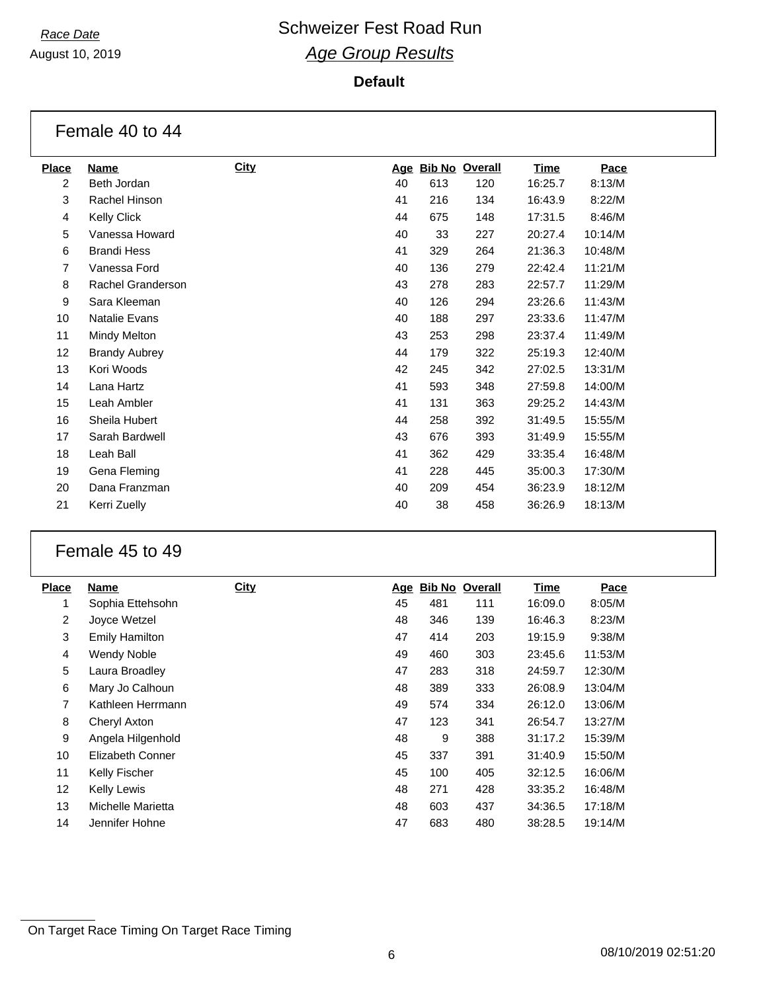August 10, 2019

| <b>Place</b>   | Name                 | <b>City</b> | <u>Age</u> |     | <b>Bib No Overall</b> | <u>Time</u> | Pace    |
|----------------|----------------------|-------------|------------|-----|-----------------------|-------------|---------|
| $\overline{c}$ | Beth Jordan          |             | 40         | 613 | 120                   | 16:25.7     | 8:13/M  |
| 3              | Rachel Hinson        |             | 41         | 216 | 134                   | 16:43.9     | 8:22/M  |
| 4              | Kelly Click          |             | 44         | 675 | 148                   | 17:31.5     | 8:46/M  |
| 5              | Vanessa Howard       |             | 40         | 33  | 227                   | 20:27.4     | 10:14/M |
| 6              | <b>Brandi Hess</b>   |             | 41         | 329 | 264                   | 21:36.3     | 10:48/M |
| $\overline{7}$ | Vanessa Ford         |             | 40         | 136 | 279                   | 22:42.4     | 11:21/M |
| 8              | Rachel Granderson    |             | 43         | 278 | 283                   | 22:57.7     | 11:29/M |
| 9              | Sara Kleeman         |             | 40         | 126 | 294                   | 23:26.6     | 11:43/M |
| 10             | <b>Natalie Evans</b> |             | 40         | 188 | 297                   | 23:33.6     | 11:47/M |
| 11             | Mindy Melton         |             | 43         | 253 | 298                   | 23:37.4     | 11:49/M |
| 12             | <b>Brandy Aubrey</b> |             | 44         | 179 | 322                   | 25:19.3     | 12:40/M |
| 13             | Kori Woods           |             | 42         | 245 | 342                   | 27:02.5     | 13:31/M |
| 14             | Lana Hartz           |             | 41         | 593 | 348                   | 27:59.8     | 14:00/M |
| 15             | Leah Ambler          |             | 41         | 131 | 363                   | 29:25.2     | 14:43/M |
| 16             | Sheila Hubert        |             | 44         | 258 | 392                   | 31:49.5     | 15:55/M |
| 17             | Sarah Bardwell       |             | 43         | 676 | 393                   | 31:49.9     | 15:55/M |
| 18             | Leah Ball            |             | 41         | 362 | 429                   | 33:35.4     | 16:48/M |
| 19             | Gena Fleming         |             | 41         | 228 | 445                   | 35:00.3     | 17:30/M |
| 20             | Dana Franzman        |             | 40         | 209 | 454                   | 36:23.9     | 18:12/M |
| 21             | Kerri Zuelly         |             | 40         | 38  | 458                   | 36:26.9     | 18:13/M |
|                |                      |             |            |     |                       |             |         |

## Female 45 to 49

| <b>Place</b>   | Name                  | <b>City</b> |    | Age Bib No Overall |     | <b>Time</b> | Pace    |
|----------------|-----------------------|-------------|----|--------------------|-----|-------------|---------|
|                | Sophia Ettehsohn      |             | 45 | 481                | 111 | 16:09.0     | 8:05/M  |
| $\overline{2}$ | Joyce Wetzel          |             | 48 | 346                | 139 | 16:46.3     | 8:23/M  |
| 3              | <b>Emily Hamilton</b> |             | 47 | 414                | 203 | 19:15.9     | 9:38/M  |
| 4              | <b>Wendy Noble</b>    |             | 49 | 460                | 303 | 23:45.6     | 11:53/M |
| 5              | Laura Broadley        |             | 47 | 283                | 318 | 24:59.7     | 12:30/M |
| 6              | Mary Jo Calhoun       |             | 48 | 389                | 333 | 26:08.9     | 13:04/M |
| 7              | Kathleen Herrmann     |             | 49 | 574                | 334 | 26:12.0     | 13:06/M |
| 8              | Cheryl Axton          |             | 47 | 123                | 341 | 26:54.7     | 13:27/M |
| 9              | Angela Hilgenhold     |             | 48 | 9                  | 388 | 31:17.2     | 15:39/M |
| 10             | Elizabeth Conner      |             | 45 | 337                | 391 | 31:40.9     | 15:50/M |
| 11             | <b>Kelly Fischer</b>  |             | 45 | 100                | 405 | 32:12.5     | 16:06/M |
| 12             | <b>Kelly Lewis</b>    |             | 48 | 271                | 428 | 33:35.2     | 16:48/M |
| 13             | Michelle Marietta     |             | 48 | 603                | 437 | 34:36.5     | 17:18/M |
| 14             | Jennifer Hohne        |             | 47 | 683                | 480 | 38:28.5     | 19:14/M |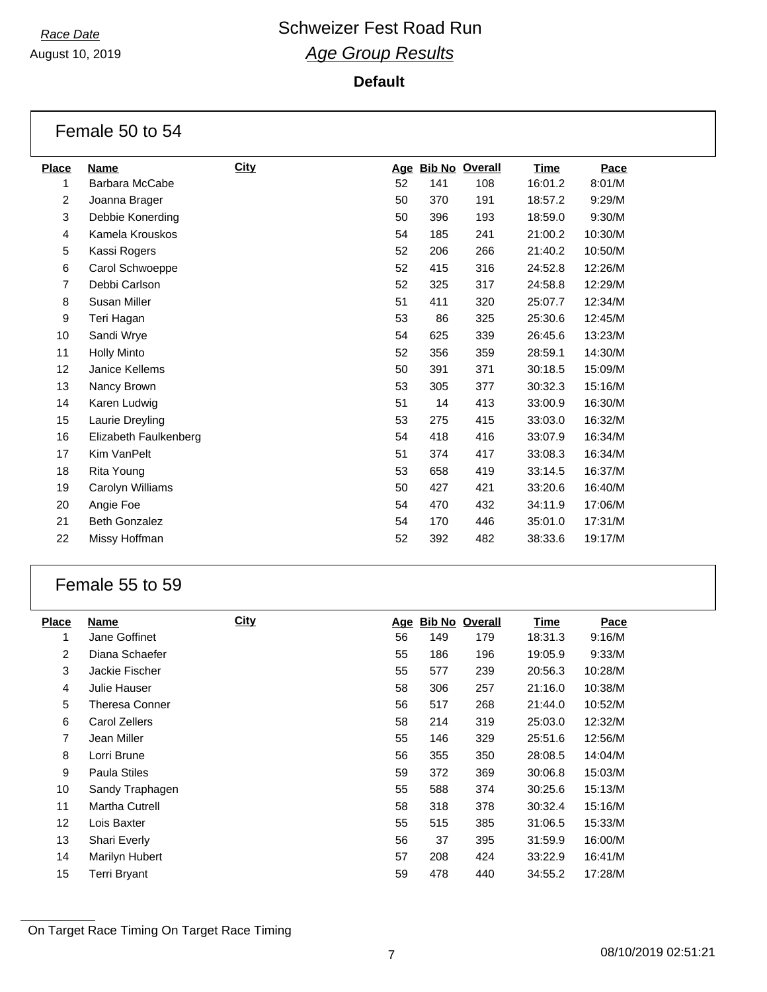August 10, 2019

#### **Default**

| Female 50 to 54 |                       |      |     |                       |     |         |         |  |  |  |
|-----------------|-----------------------|------|-----|-----------------------|-----|---------|---------|--|--|--|
| <b>Place</b>    | <b>Name</b>           | City | Age | <b>Bib No Overall</b> |     | Time    | Pace    |  |  |  |
| 1               | <b>Barbara McCabe</b> |      | 52  | 141                   | 108 | 16:01.2 | 8:01/M  |  |  |  |
| 2               | Joanna Brager         |      | 50  | 370                   | 191 | 18:57.2 | 9:29/M  |  |  |  |
| 3               | Debbie Konerding      |      | 50  | 396                   | 193 | 18:59.0 | 9:30/M  |  |  |  |
| 4               | Kamela Krouskos       |      | 54  | 185                   | 241 | 21:00.2 | 10:30/M |  |  |  |
| 5               | Kassi Rogers          |      | 52  | 206                   | 266 | 21:40.2 | 10:50/M |  |  |  |
| 6               | Carol Schwoeppe       |      | 52  | 415                   | 316 | 24:52.8 | 12:26/M |  |  |  |
| $\overline{7}$  | Debbi Carlson         |      | 52  | 325                   | 317 | 24:58.8 | 12:29/M |  |  |  |
| 8               | Susan Miller          |      | 51  | 411                   | 320 | 25:07.7 | 12:34/M |  |  |  |
| 9               | Teri Hagan            |      | 53  | 86                    | 325 | 25:30.6 | 12:45/M |  |  |  |
| 10              | Sandi Wrye            |      | 54  | 625                   | 339 | 26:45.6 | 13:23/M |  |  |  |
| 11              | <b>Holly Minto</b>    |      | 52  | 356                   | 359 | 28:59.1 | 14:30/M |  |  |  |
| 12              | Janice Kellems        |      | 50  | 391                   | 371 | 30:18.5 | 15:09/M |  |  |  |
| 13              | Nancy Brown           |      | 53  | 305                   | 377 | 30:32.3 | 15:16/M |  |  |  |
| 14              | Karen Ludwig          |      | 51  | 14                    | 413 | 33:00.9 | 16:30/M |  |  |  |
| 15              | Laurie Dreyling       |      | 53  | 275                   | 415 | 33:03.0 | 16:32/M |  |  |  |
| 16              | Elizabeth Faulkenberg |      | 54  | 418                   | 416 | 33:07.9 | 16:34/M |  |  |  |
| 17              | Kim VanPelt           |      | 51  | 374                   | 417 | 33:08.3 | 16:34/M |  |  |  |
| 18              | Rita Young            |      | 53  | 658                   | 419 | 33:14.5 | 16:37/M |  |  |  |
| 19              | Carolyn Williams      |      | 50  | 427                   | 421 | 33:20.6 | 16:40/M |  |  |  |
| 20              | Angie Foe             |      | 54  | 470                   | 432 | 34:11.9 | 17:06/M |  |  |  |
| 21              | <b>Beth Gonzalez</b>  |      | 54  | 170                   | 446 | 35:01.0 | 17:31/M |  |  |  |
| 22              | Missy Hoffman         |      | 52  | 392                   | 482 | 38:33.6 | 19:17/M |  |  |  |

## Female 55 to 59

| Name                  | <b>City</b> |    |     |            | <b>Time</b>           | Pace    |
|-----------------------|-------------|----|-----|------------|-----------------------|---------|
| Jane Goffinet         |             | 56 | 149 | 179        | 18:31.3               | 9:16/M  |
| Diana Schaefer        |             | 55 | 186 | 196        | 19:05.9               | 9:33/M  |
| Jackie Fischer        |             | 55 | 577 | 239        | 20:56.3               | 10:28/M |
| Julie Hauser          |             | 58 | 306 | 257        | 21:16.0               | 10:38/M |
| <b>Theresa Conner</b> |             | 56 | 517 | 268        | 21:44.0               | 10:52/M |
| Carol Zellers         |             | 58 | 214 | 319        | 25:03.0               | 12:32/M |
| Jean Miller           |             | 55 | 146 | 329        | 25:51.6               | 12:56/M |
| Lorri Brune           |             | 56 | 355 | 350        | 28:08.5               | 14:04/M |
| <b>Paula Stiles</b>   |             | 59 | 372 | 369        | 30:06.8               | 15:03/M |
| Sandy Traphagen       |             | 55 | 588 | 374        | 30:25.6               | 15:13/M |
| <b>Martha Cutrell</b> |             | 58 | 318 | 378        | 30:32.4               | 15:16/M |
| Lois Baxter           |             | 55 | 515 | 385        | 31:06.5               | 15:33/M |
| Shari Everly          |             | 56 | 37  | 395        | 31:59.9               | 16:00/M |
| Marilyn Hubert        |             | 57 | 208 | 424        | 33:22.9               | 16:41/M |
| Terri Bryant          |             | 59 | 478 | 440        | 34:55.2               | 17:28/M |
|                       |             |    |     | <u>Age</u> | <b>Bib No Overall</b> |         |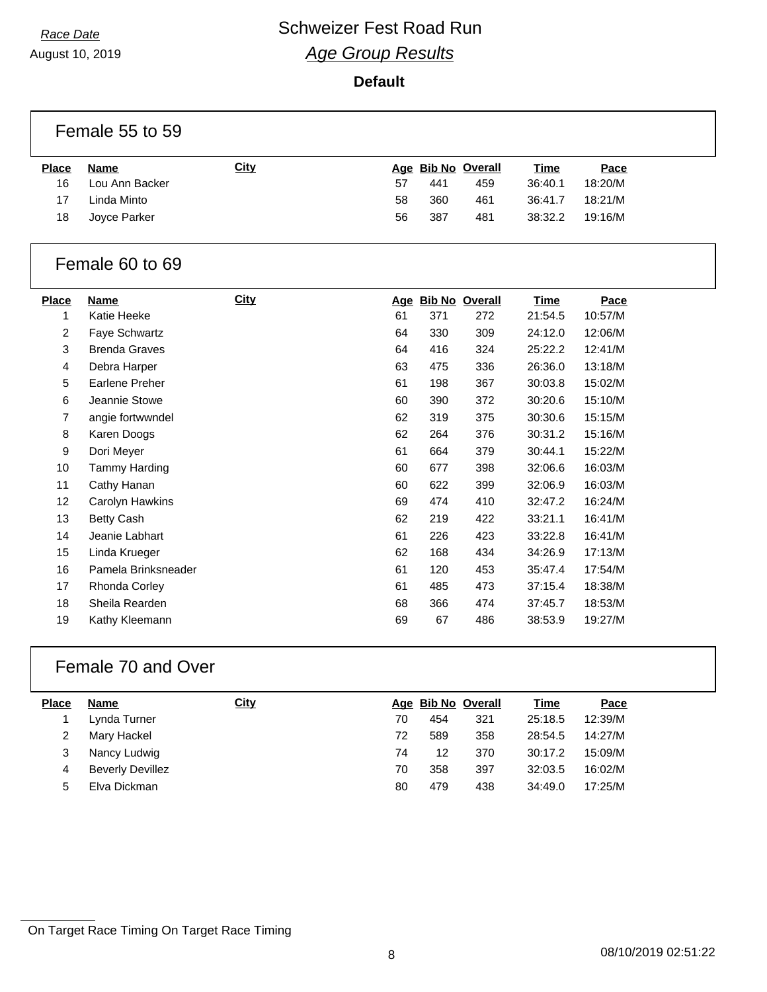August 10, 2019

#### **Default**

|                | Female 55 to 59       |             |        |                  |                    |             |         |  |  |
|----------------|-----------------------|-------------|--------|------------------|--------------------|-------------|---------|--|--|
| <b>Place</b>   | <b>Name</b>           | <b>City</b> |        |                  | Age Bib No Overall | <b>Time</b> | Pace    |  |  |
| 16             | Lou Ann Backer        |             | 57     | 441              | 459                | 36:40.1     | 18:20/M |  |  |
| 17             | Linda Minto           |             | 58     | 360              | 461                | 36:41.7     | 18:21/M |  |  |
| 18             | Joyce Parker          |             | 56     | 387              | 481                | 38:32.2     | 19:16/M |  |  |
|                | Female 60 to 69       |             |        |                  |                    |             |         |  |  |
| <b>Place</b>   | <b>Name</b>           | <b>City</b> |        |                  | Age Bib No Overall | <b>Time</b> | Pace    |  |  |
| 1              | Katie Heeke           |             | 61     | 371              | 272                | 21:54.5     | 10:57/M |  |  |
| $\overline{c}$ | Faye Schwartz         |             | 64     | 330              | 309                | 24:12.0     | 12:06/M |  |  |
| 3              | <b>Brenda Graves</b>  |             | 64     | 416              | 324                | 25:22.2     | 12:41/M |  |  |
| 4              | Debra Harper          |             | 63     | 475              | 336                | 26:36.0     | 13:18/M |  |  |
| 5              | <b>Earlene Preher</b> |             | 61     | 198              | 367                | 30:03.8     | 15:02/M |  |  |
| 6              | Jeannie Stowe         |             | 60     | 390              | 372                | 30:20.6     | 15:10/M |  |  |
| 7              | angie fortwwndel      |             | 62     | 319              | 375                | 30:30.6     | 15:15/M |  |  |
| 8              | Karen Doogs           |             | 62     | 264              | 376                | 30:31.2     | 15:16/M |  |  |
| 9              | Dori Meyer            |             | 61     | 664              | 379                | 30:44.1     | 15:22/M |  |  |
| 10             | <b>Tammy Harding</b>  |             | 60     | 677              | 398                | 32:06.6     | 16:03/M |  |  |
| 11             | Cathy Hanan           |             | 60     | 622              | 399                | 32:06.9     | 16:03/M |  |  |
| 12             | Carolyn Hawkins       |             | 69     | 474              | 410                | 32:47.2     | 16:24/M |  |  |
| 13             | <b>Betty Cash</b>     |             | 62     | 219              | 422                | 33:21.1     | 16:41/M |  |  |
| 14             | Jeanie Labhart        |             | 61     | 226              | 423                | 33:22.8     | 16:41/M |  |  |
|                |                       |             | $\sim$ | $\overline{100}$ |                    | . <i>.</i>  |         |  |  |

| 15 | Linda Krueger       | 62 | 168 | 434 | 34:26.9 | 17:13/M |
|----|---------------------|----|-----|-----|---------|---------|
| 16 | Pamela Brinksneader | 61 | 120 | 453 | 35:47.4 | 17:54/M |
| 17 | Rhonda Corley       | 61 | 485 | 473 | 37:15.4 | 18:38/M |
| 18 | Sheila Rearden      | 68 | 366 | 474 | 37:45.7 | 18:53/M |
| 19 | Kathy Kleemann      | 69 | 67  | 486 | 38:53.9 | 19:27/M |
|    |                     |    |     |     |         |         |

## Female 70 and Over

| <b>Place</b> | <b>Name</b>             | <u>City</u> |    | Age Bib No Overall |     | <u>Time</u> | Pace    |
|--------------|-------------------------|-------------|----|--------------------|-----|-------------|---------|
|              | Lynda Turner            |             | 70 | 454                | 321 | 25:18.5     | 12:39/M |
|              | Mary Hackel             |             | 72 | 589                | 358 | 28:54.5     | 14:27/M |
| 3            | Nancy Ludwig            |             | 74 | 12                 | 370 | 30:17.2     | 15:09/M |
| 4            | <b>Beverly Devillez</b> |             | 70 | 358                | 397 | 32:03.5     | 16:02/M |
| 5            | Elva Dickman            |             | 80 | 479                | 438 | 34:49.0     | 17:25/M |
|              |                         |             |    |                    |     |             |         |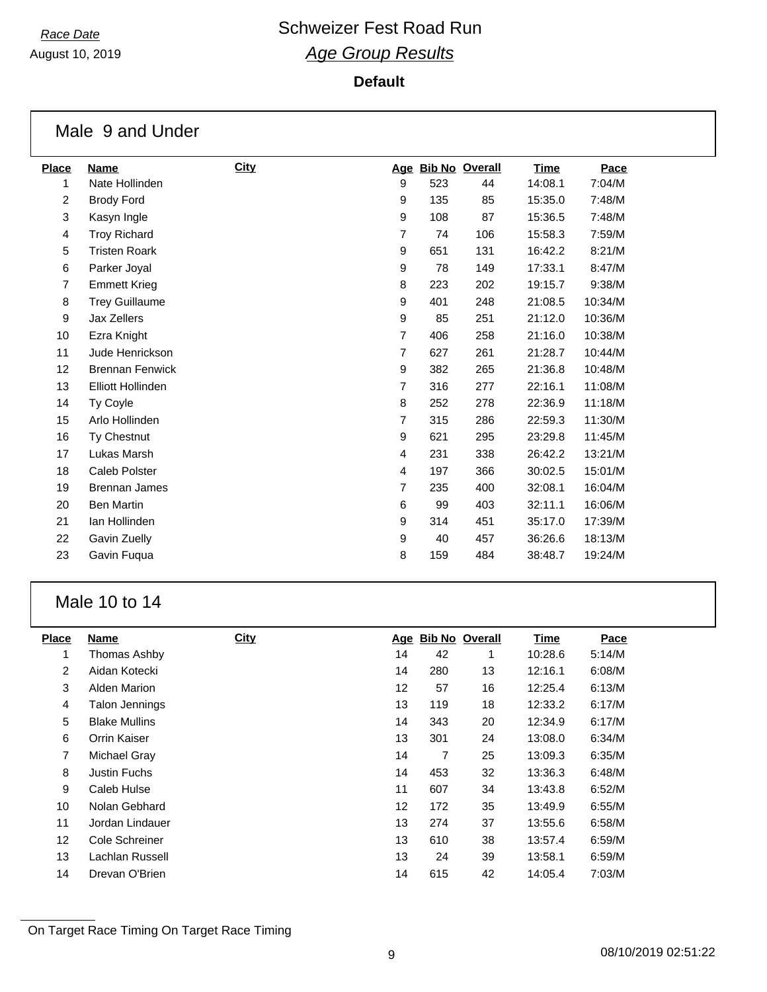August 10, 2019

## **Default**

|                | Male 9 and Under         |      |                  |     |                    |             |         |
|----------------|--------------------------|------|------------------|-----|--------------------|-------------|---------|
| <b>Place</b>   | <b>Name</b>              | City |                  |     | Age Bib No Overall | <b>Time</b> | Pace    |
| 1              | Nate Hollinden           |      | 9                | 523 | 44                 | 14:08.1     | 7:04/M  |
| $\overline{c}$ | <b>Brody Ford</b>        |      | $\boldsymbol{9}$ | 135 | 85                 | 15:35.0     | 7:48/M  |
| 3              | Kasyn Ingle              |      | 9                | 108 | 87                 | 15:36.5     | 7:48/M  |
| $\overline{4}$ | <b>Troy Richard</b>      |      | $\overline{7}$   | 74  | 106                | 15:58.3     | 7:59/M  |
| 5              | <b>Tristen Roark</b>     |      | 9                | 651 | 131                | 16:42.2     | 8:21/M  |
| 6              | Parker Joyal             |      | 9                | 78  | 149                | 17:33.1     | 8:47/M  |
| $\overline{7}$ | <b>Emmett Krieg</b>      |      | 8                | 223 | 202                | 19:15.7     | 9:38/M  |
| 8              | <b>Trey Guillaume</b>    |      | 9                | 401 | 248                | 21:08.5     | 10:34/M |
| 9              | Jax Zellers              |      | 9                | 85  | 251                | 21:12.0     | 10:36/M |
| 10             | Ezra Knight              |      | $\overline{7}$   | 406 | 258                | 21:16.0     | 10:38/M |
| 11             | Jude Henrickson          |      | 7                | 627 | 261                | 21:28.7     | 10:44/M |
| 12             | <b>Brennan Fenwick</b>   |      | 9                | 382 | 265                | 21:36.8     | 10:48/M |
| 13             | <b>Elliott Hollinden</b> |      | 7                | 316 | 277                | 22:16.1     | 11:08/M |
| 14             | Ty Coyle                 |      | 8                | 252 | 278                | 22:36.9     | 11:18/M |
| 15             | Arlo Hollinden           |      | $\overline{7}$   | 315 | 286                | 22:59.3     | 11:30/M |
| 16             | Ty Chestnut              |      | 9                | 621 | 295                | 23:29.8     | 11:45/M |
| 17             | Lukas Marsh              |      | 4                | 231 | 338                | 26:42.2     | 13:21/M |
| 18             | Caleb Polster            |      | 4                | 197 | 366                | 30:02.5     | 15:01/M |
| 19             | Brennan James            |      | $\overline{7}$   | 235 | 400                | 32:08.1     | 16:04/M |
| 20             | <b>Ben Martin</b>        |      | 6                | 99  | 403                | 32:11.1     | 16:06/M |
| 21             | Ian Hollinden            |      | 9                | 314 | 451                | 35:17.0     | 17:39/M |
| 22             | Gavin Zuelly             |      | $\boldsymbol{9}$ | 40  | 457                | 36:26.6     | 18:13/M |
| 23             | Gavin Fuqua              |      | 8                | 159 | 484                | 38:48.7     | 19:24/M |

## Male 10 to 14

| <b>Place</b>    | Name                  | <b>City</b> |    | Age Bib No Overall |    | Time    | Pace   |
|-----------------|-----------------------|-------------|----|--------------------|----|---------|--------|
| 1               | Thomas Ashby          |             | 14 | 42                 | 1  | 10:28.6 | 5:14/M |
| $\overline{2}$  | Aidan Kotecki         |             | 14 | 280                | 13 | 12:16.1 | 6:08/M |
| 3               | Alden Marion          |             | 12 | 57                 | 16 | 12:25.4 | 6:13/M |
| 4               | <b>Talon Jennings</b> |             | 13 | 119                | 18 | 12:33.2 | 6:17/M |
| 5               | <b>Blake Mullins</b>  |             | 14 | 343                | 20 | 12:34.9 | 6:17/M |
| 6               | Orrin Kaiser          |             | 13 | 301                | 24 | 13:08.0 | 6:34/M |
| 7               | Michael Gray          |             | 14 | 7                  | 25 | 13:09.3 | 6:35/M |
| 8               | <b>Justin Fuchs</b>   |             | 14 | 453                | 32 | 13:36.3 | 6:48/M |
| 9               | Caleb Hulse           |             | 11 | 607                | 34 | 13:43.8 | 6:52/M |
| 10              | Nolan Gebhard         |             | 12 | 172                | 35 | 13:49.9 | 6:55/M |
| 11              | Jordan Lindauer       |             | 13 | 274                | 37 | 13:55.6 | 6:58/M |
| 12 <sup>2</sup> | Cole Schreiner        |             | 13 | 610                | 38 | 13:57.4 | 6:59/M |
| 13              | Lachlan Russell       |             | 13 | 24                 | 39 | 13:58.1 | 6:59/M |
| 14              | Drevan O'Brien        |             | 14 | 615                | 42 | 14:05.4 | 7:03/M |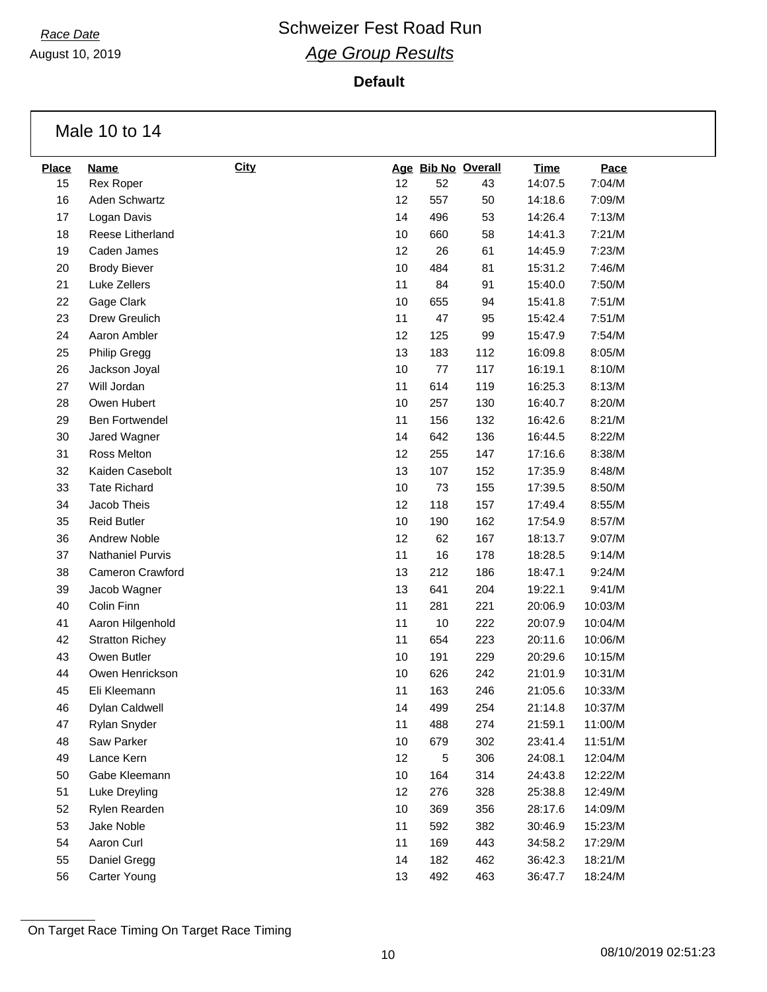August 10, 2019

**Default**

Male 10 to 14

| <b>Place</b> | <b>Name</b>             | <b>City</b> |      |      | Age Bib No Overall | <b>Time</b> | Pace    |
|--------------|-------------------------|-------------|------|------|--------------------|-------------|---------|
| 15           | Rex Roper               |             | 12   | 52   | 43                 | 14:07.5     | 7:04/M  |
| 16           | Aden Schwartz           |             | 12   | 557  | 50                 | 14:18.6     | 7:09/M  |
| 17           | Logan Davis             |             | 14   | 496  | 53                 | 14:26.4     | 7:13/M  |
| 18           | Reese Litherland        |             | 10   | 660  | 58                 | 14:41.3     | 7:21/M  |
| 19           | Caden James             |             | 12   | 26   | 61                 | 14:45.9     | 7:23/M  |
| 20           | <b>Brody Biever</b>     |             | 10   | 484  | 81                 | 15:31.2     | 7:46/M  |
| 21           | Luke Zellers            |             | 11   | 84   | 91                 | 15:40.0     | 7:50/M  |
| 22           | Gage Clark              |             | 10   | 655  | 94                 | 15:41.8     | 7:51/M  |
| 23           | Drew Greulich           |             | 11   | 47   | 95                 | 15:42.4     | 7:51/M  |
| 24           | Aaron Ambler            |             | 12   | 125  | 99                 | 15:47.9     | 7:54/M  |
| 25           | Philip Gregg            |             | 13   | 183  | 112                | 16:09.8     | 8:05/M  |
| 26           | Jackson Joyal           |             | 10   | $77$ | 117                | 16:19.1     | 8:10/M  |
| 27           | Will Jordan             |             | 11   | 614  | 119                | 16:25.3     | 8:13/M  |
| 28           | Owen Hubert             |             | 10   | 257  | 130                | 16:40.7     | 8:20/M  |
| 29           | Ben Fortwendel          |             | 11   | 156  | 132                | 16:42.6     | 8:21/M  |
| 30           | Jared Wagner            |             | 14   | 642  | 136                | 16:44.5     | 8:22/M  |
| 31           | Ross Melton             |             | 12   | 255  | 147                | 17:16.6     | 8:38/M  |
| 32           | Kaiden Casebolt         |             | 13   | 107  | 152                | 17:35.9     | 8:48/M  |
| 33           | <b>Tate Richard</b>     |             | 10   | 73   | 155                | 17:39.5     | 8:50/M  |
| 34           | Jacob Theis             |             | 12   | 118  | 157                | 17:49.4     | 8:55/M  |
| 35           | <b>Reid Butler</b>      |             | $10$ | 190  | 162                | 17:54.9     | 8:57/M  |
| 36           | Andrew Noble            |             | 12   | 62   | 167                | 18:13.7     | 9:07/M  |
| 37           | <b>Nathaniel Purvis</b> |             | 11   | 16   | 178                | 18:28.5     | 9:14/M  |
| 38           | Cameron Crawford        |             | 13   | 212  | 186                | 18:47.1     | 9:24/M  |
| 39           | Jacob Wagner            |             | 13   | 641  | 204                | 19:22.1     | 9:41/M  |
| 40           | Colin Finn              |             | 11   | 281  | 221                | 20:06.9     | 10:03/M |
| 41           | Aaron Hilgenhold        |             | 11   | 10   | 222                | 20:07.9     | 10:04/M |
| 42           | <b>Stratton Richey</b>  |             | 11   | 654  | 223                | 20:11.6     | 10:06/M |
| 43           | Owen Butler             |             | 10   | 191  | 229                | 20:29.6     | 10:15/M |
| 44           | Owen Henrickson         |             | 10   | 626  | 242                | 21:01.9     | 10:31/M |
| 45           | Eli Kleemann            |             | 11   | 163  | 246                | 21:05.6     | 10:33/M |
| 46           | Dylan Caldwell          |             | 14   | 499  | 254                | 21:14.8     | 10:37/M |
| 47           | Rylan Snyder            |             | 11   | 488  | 274                | 21:59.1     | 11:00/M |
| 48           | Saw Parker              |             | 10   | 679  | 302                | 23:41.4     | 11:51/M |
| 49           | Lance Kern              |             | 12   | 5    | 306                | 24:08.1     | 12:04/M |
| 50           | Gabe Kleemann           |             | 10   | 164  | 314                | 24:43.8     | 12:22/M |
| 51           | Luke Dreyling           |             | 12   | 276  | 328                | 25:38.8     | 12:49/M |
| 52           | Rylen Rearden           |             | 10   | 369  | 356                | 28:17.6     | 14:09/M |
| 53           | Jake Noble              |             | 11   | 592  | 382                | 30:46.9     | 15:23/M |
| 54           | Aaron Curl              |             | 11   | 169  | 443                | 34:58.2     | 17:29/M |
| 55           | Daniel Gregg            |             | 14   | 182  | 462                | 36:42.3     | 18:21/M |
| 56           | Carter Young            |             | 13   | 492  | 463                | 36:47.7     | 18:24/M |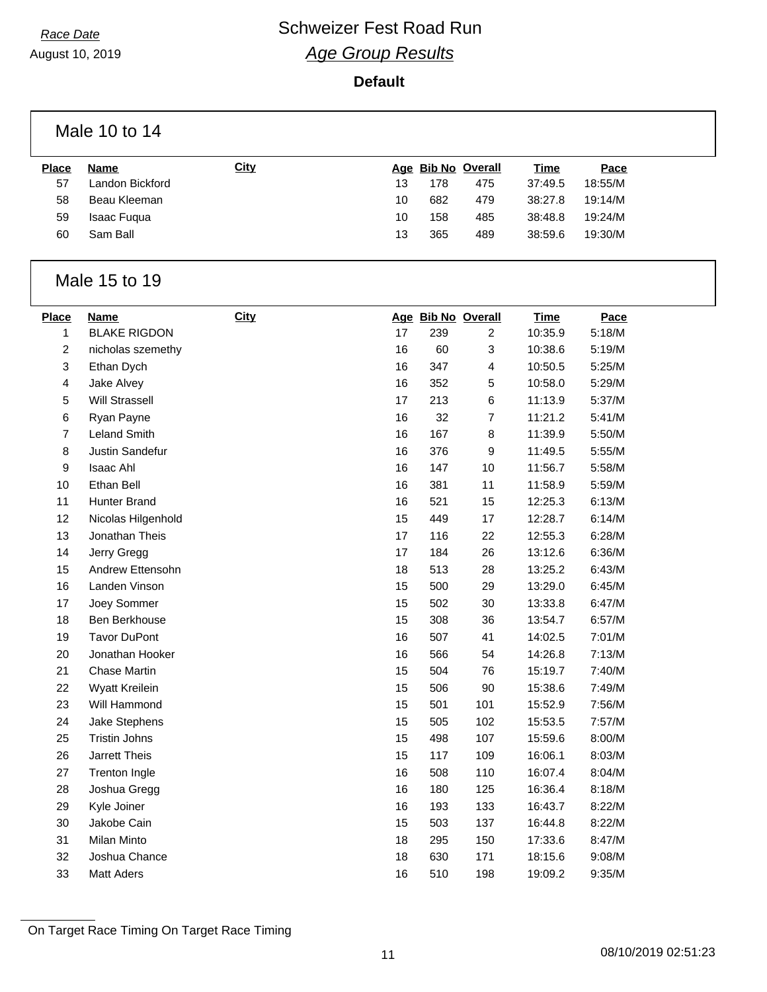August 10, 2019

## **Default**

|                   | Male 10 to 14                      |      |    |     |                                      |                        |                |  |
|-------------------|------------------------------------|------|----|-----|--------------------------------------|------------------------|----------------|--|
| <b>Place</b>      | <b>Name</b>                        | City |    |     | Age Bib No Overall                   | <b>Time</b>            | Pace           |  |
| 57                | Landon Bickford                    |      | 13 | 178 | 475                                  | 37:49.5                | 18:55/M        |  |
| 58                | Beau Kleeman                       |      | 10 | 682 | 479                                  | 38:27.8                | 19:14/M        |  |
| 59                | Isaac Fuqua                        |      | 10 | 158 | 485                                  | 38:48.8                | 19:24/M        |  |
| 60                | Sam Ball                           |      | 13 | 365 | 489                                  | 38:59.6                | 19:30/M        |  |
|                   | Male 15 to 19                      |      |    |     |                                      |                        |                |  |
| <b>Place</b><br>1 | <b>Name</b><br><b>BLAKE RIGDON</b> | City | 17 | 239 | Age Bib No Overall<br>$\overline{2}$ | <b>Time</b><br>10:35.9 | Pace<br>5:18/M |  |
|                   |                                    |      | 16 | 60  |                                      | 10:38.6                | 5:19/M         |  |
| 2<br>3            | nicholas szemethy<br>Ethan Dych    |      | 16 | 347 | 3<br>4                               | 10:50.5                | 5:25/M         |  |
| 4                 | Jake Alvey                         |      | 16 | 352 | 5                                    | 10:58.0                | 5:29/M         |  |
| 5                 | <b>Will Strassell</b>              |      | 17 | 213 | 6                                    | 11:13.9                | 5:37/M         |  |
| 6                 | Ryan Payne                         |      | 16 | 32  | 7                                    | 11:21.2                | 5:41/M         |  |
| 7                 | <b>Leland Smith</b>                |      | 16 | 167 | 8                                    | 11:39.9                | 5:50/M         |  |
| 8                 | Justin Sandefur                    |      | 16 | 376 | 9                                    | 11:49.5                | 5:55/M         |  |
| 9                 | Isaac Ahl                          |      | 16 | 147 | 10                                   | 11:56.7                | 5:58/M         |  |
| 10                | Ethan Bell                         |      | 16 | 381 | 11                                   | 11:58.9                | 5:59/M         |  |
| 11                | Hunter Brand                       |      | 16 | 521 | 15                                   | 12:25.3                | 6:13/M         |  |
| 12                | Nicolas Hilgenhold                 |      | 15 | 449 | 17                                   | 12:28.7                | 6:14/M         |  |
| 13                | Jonathan Theis                     |      | 17 | 116 | 22                                   | 12:55.3                | 6:28/M         |  |
| 14                | Jerry Gregg                        |      | 17 | 184 | 26                                   | 13:12.6                | 6:36/M         |  |
| 15                | Andrew Ettensohn                   |      | 18 | 513 | 28                                   | 13:25.2                | 6:43/M         |  |
| 16                | Landen Vinson                      |      | 15 | 500 | 29                                   | 13:29.0                | 6:45/M         |  |
| 17                | Joey Sommer                        |      | 15 | 502 | 30                                   | 13:33.8                | 6:47/M         |  |
| 18                | Ben Berkhouse                      |      | 15 | 308 | 36                                   | 13:54.7                | 6:57/M         |  |
| 19                | <b>Tavor DuPont</b>                |      | 16 | 507 | 41                                   | 14:02.5                | 7:01/M         |  |
| 20                | Jonathan Hooker                    |      | 16 | 566 | 54                                   | 14:26.8                | 7:13/M         |  |
| 21                | <b>Chase Martin</b>                |      | 15 | 504 | 76                                   | 15:19.7                | 7:40/M         |  |
| 22                | Wyatt Kreilein                     |      | 15 | 506 | $90\,$                               | 15:38.6                | 7:49/M         |  |
| 23                | Will Hammond                       |      | 15 | 501 | 101                                  | 15:52.9                | 7:56/M         |  |
| 24                | Jake Stephens                      |      | 15 | 505 | 102                                  | 15:53.5                | 7:57/M         |  |
| 25                | Tristin Johns                      |      | 15 | 498 | 107                                  | 15:59.6                | 8:00/M         |  |
| 26                | Jarrett Theis                      |      | 15 | 117 | 109                                  | 16:06.1                | 8:03/M         |  |
| 27                | Trenton Ingle                      |      | 16 | 508 | 110                                  | 16:07.4                | 8:04/M         |  |
| 28                | Joshua Gregg                       |      | 16 | 180 | 125                                  | 16:36.4                | 8:18/M         |  |
| 29                | Kyle Joiner                        |      | 16 | 193 | 133                                  | 16:43.7                | 8:22/M         |  |
| 30                | Jakobe Cain                        |      | 15 | 503 | 137                                  | 16:44.8                | 8:22/M         |  |
| 31                | Milan Minto                        |      | 18 | 295 | 150                                  | 17:33.6                | 8:47/M         |  |
| 32                | Joshua Chance                      |      | 18 | 630 | 171                                  | 18:15.6                | 9:08/M         |  |
| 33                | <b>Matt Aders</b>                  |      | 16 | 510 | 198                                  | 19:09.2                | 9:35/M         |  |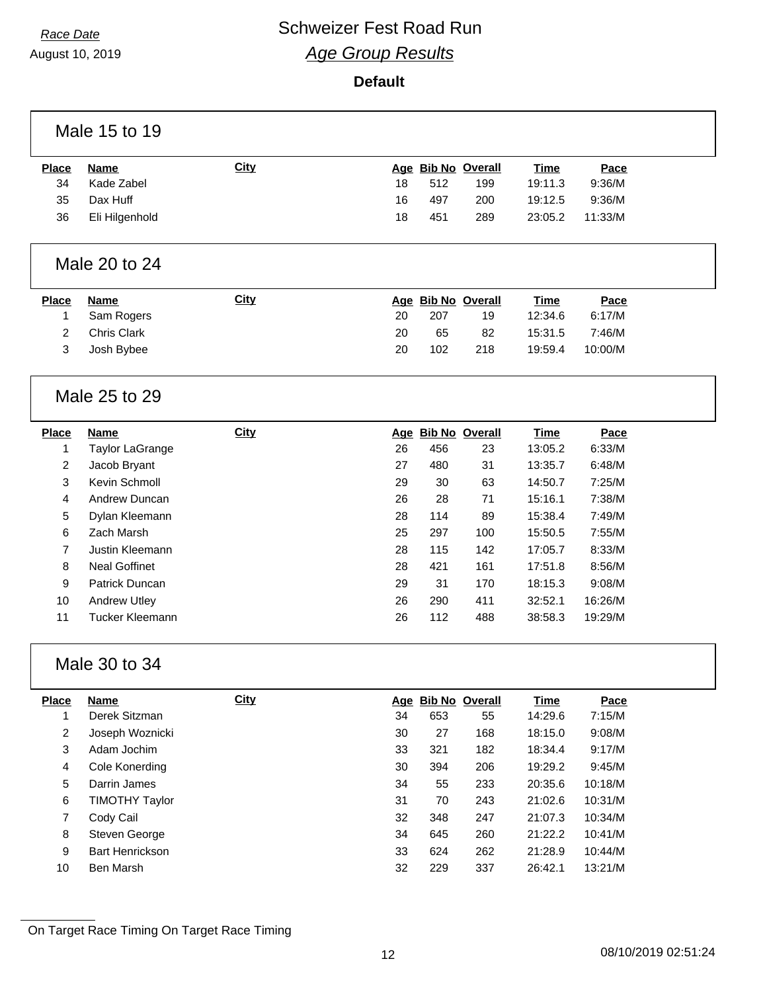Г

# *Race Date* **Conservery Schweizer Fest Road Run** *Age Group Results*

August 10, 2019

### **Default**

|                | Male 15 to 19                |             |    |     |                    |             |         |  |
|----------------|------------------------------|-------------|----|-----|--------------------|-------------|---------|--|
| <b>Place</b>   | <b>Name</b>                  | <b>City</b> |    |     | Age Bib No Overall | <b>Time</b> | Pace    |  |
| 34             | Kade Zabel                   |             | 18 | 512 | 199                | 19:11.3     | 9:36/M  |  |
| 35             | Dax Huff                     |             | 16 | 497 | 200                | 19:12.5     | 9:36/M  |  |
| 36             | Eli Hilgenhold               |             | 18 | 451 | 289                | 23:05.2     | 11:33/M |  |
|                |                              |             |    |     |                    |             |         |  |
|                | Male 20 to 24                |             |    |     |                    |             |         |  |
| <b>Place</b>   | <b>Name</b>                  | <b>City</b> |    |     | Age Bib No Overall | <b>Time</b> | Pace    |  |
| 1              | Sam Rogers                   |             | 20 | 207 | 19                 | 12:34.6     | 6:17/M  |  |
| $\overline{2}$ | Chris Clark                  |             | 20 | 65  | 82                 | 15:31.5     | 7:46/M  |  |
| 3              | Josh Bybee                   |             | 20 | 102 | 218                | 19:59.4     | 10:00/M |  |
|                | Male 25 to 29                |             |    |     |                    |             |         |  |
| <b>Place</b>   | <b>Name</b>                  | <b>City</b> |    |     | Age Bib No Overall | <b>Time</b> | Pace    |  |
| 1              | <b>Taylor LaGrange</b>       |             | 26 | 456 | 23                 | 13:05.2     | 6:33/M  |  |
| $\overline{c}$ | Jacob Bryant                 |             | 27 | 480 | 31                 | 13:35.7     | 6:48/M  |  |
| 3              | Kevin Schmoll                |             | 29 | 30  | 63                 | 14:50.7     | 7:25/M  |  |
| 4              | Andrew Duncan                |             | 26 | 28  | 71                 | 15:16.1     | 7:38/M  |  |
| 5              | Dylan Kleemann               |             | 28 | 114 | 89                 | 15:38.4     | 7:49/M  |  |
| 6              | Zach Marsh                   |             | 25 | 297 | 100                | 15:50.5     | 7:55/M  |  |
| $\overline{7}$ | Justin Kleemann              |             | 28 | 115 | 142                | 17:05.7     | 8:33/M  |  |
| 8              | <b>Neal Goffinet</b>         |             | 28 | 421 | 161                | 17:51.8     | 8:56/M  |  |
| 9              | Patrick Duncan               |             | 29 | 31  | 170                | 18:15.3     | 9:08/M  |  |
| 10             | <b>Andrew Utley</b>          |             | 26 | 290 | 411                | 32:52.1     | 16:26/M |  |
| 11             | Tucker Kleemann              |             | 26 | 112 | 488                | 38:58.3     | 19:29/M |  |
|                | Male 30 to 34                |             |    |     |                    |             |         |  |
| <b>Place</b>   | <b>Name</b><br>Derek Sitzman | <b>City</b> |    |     | Age Bib No Overall | <b>Time</b> | Pace    |  |
| 1              |                              |             | 34 | 653 | 55                 | 14:29.6     | 7:15/M  |  |
| $\overline{a}$ | Joseph Woznicki              |             | 30 | 27  | 168                | 18:15.0     | 9:08/M  |  |
| 3              | Adam Jochim                  |             | 33 | 321 | 182                | 18:34.4     | 9:17/M  |  |
| 4              | Cole Konerding               |             | 30 | 394 | 206                | 19:29.2     | 9:45/M  |  |
| 5              | Darrin James                 |             | 34 | 55  | 233                | 20:35.6     | 10:18/M |  |
| 6              | <b>TIMOTHY Taylor</b>        |             | 31 | 70  | 243                | 21:02.6     | 10:31/M |  |
| $\overline{7}$ | Cody Cail                    |             | 32 | 348 | 247                | 21:07.3     | 10:34/M |  |
| 8              | Steven George                |             | 34 | 645 | 260                | 21:22.2     | 10:41/M |  |
| 9              | Bart Henrickson              |             | 33 | 624 | 262                | 21:28.9     | 10:44/M |  |
| 10             | Ben Marsh                    |             | 32 | 229 | 337                | 26:42.1     | 13:21/M |  |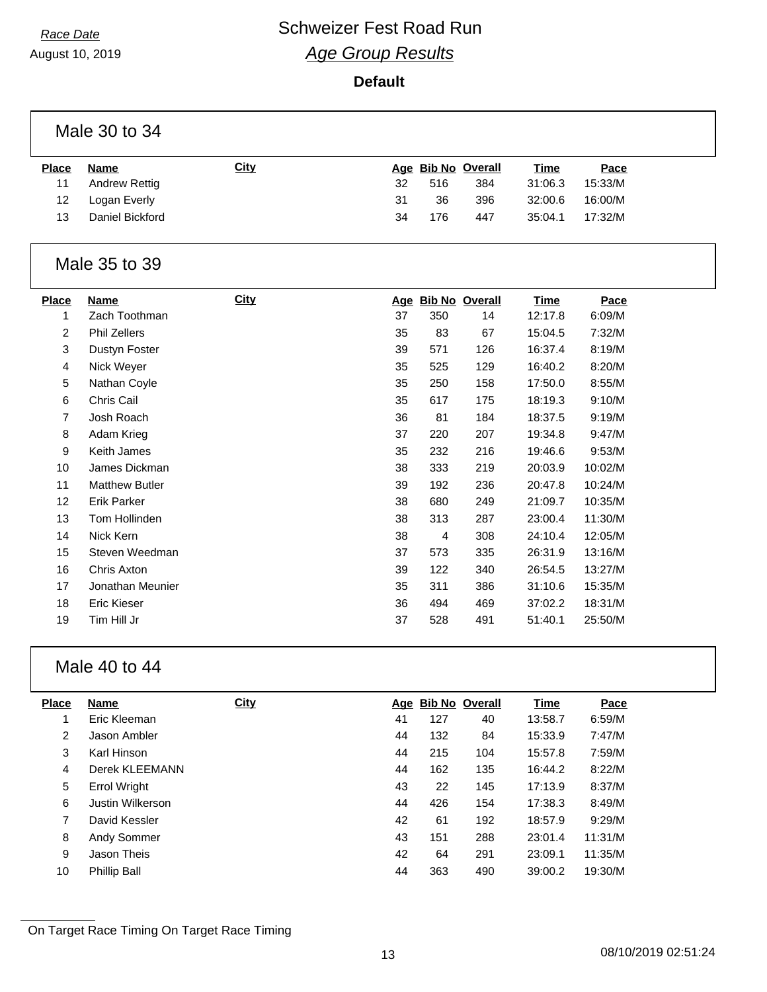August 10, 2019

#### **Default**

| <b>Place</b> | Name            | <b>City</b> |    |     | Age Bib No Overall | <u>Time</u> | <u>Pace</u> |
|--------------|-----------------|-------------|----|-----|--------------------|-------------|-------------|
| 11           | Andrew Rettig   |             | 32 | 516 | 384                | 31:06.3     | 15:33/M     |
| 12           | Logan Everly    |             | 31 | 36  | 396                | 32:00.6     | 16:00/M     |
| 13           | Daniel Bickford |             | 34 | 176 | 447                | 35:04.1     | 17:32/M     |
|              |                 |             |    |     |                    |             |             |

#### Male 35 to 39

| <b>Place</b> | Name                  | <b>City</b> | <u>Age</u> | <b>Bib No Overall</b> |     | <b>Time</b> | Pace    |
|--------------|-----------------------|-------------|------------|-----------------------|-----|-------------|---------|
| 1            | Zach Toothman         |             | 37         | 350                   | 14  | 12:17.8     | 6:09/M  |
| 2            | <b>Phil Zellers</b>   |             | 35         | 83                    | 67  | 15:04.5     | 7:32/M  |
| 3            | Dustyn Foster         |             | 39         | 571                   | 126 | 16:37.4     | 8:19/M  |
| 4            | Nick Weyer            |             | 35         | 525                   | 129 | 16:40.2     | 8:20/M  |
| 5            | Nathan Coyle          |             | 35         | 250                   | 158 | 17:50.0     | 8:55/M  |
| 6            | Chris Cail            |             | 35         | 617                   | 175 | 18:19.3     | 9:10/M  |
| 7            | Josh Roach            |             | 36         | 81                    | 184 | 18:37.5     | 9:19/M  |
| 8            | Adam Krieg            |             | 37         | 220                   | 207 | 19:34.8     | 9:47/M  |
| 9            | Keith James           |             | 35         | 232                   | 216 | 19:46.6     | 9:53/M  |
| 10           | James Dickman         |             | 38         | 333                   | 219 | 20:03.9     | 10:02/M |
| 11           | <b>Matthew Butler</b> |             | 39         | 192                   | 236 | 20:47.8     | 10:24/M |
| 12           | <b>Erik Parker</b>    |             | 38         | 680                   | 249 | 21:09.7     | 10:35/M |
| 13           | Tom Hollinden         |             | 38         | 313                   | 287 | 23:00.4     | 11:30/M |
| 14           | Nick Kern             |             | 38         | 4                     | 308 | 24:10.4     | 12:05/M |
| 15           | Steven Weedman        |             | 37         | 573                   | 335 | 26:31.9     | 13:16/M |
| 16           | Chris Axton           |             | 39         | 122                   | 340 | 26:54.5     | 13:27/M |
| 17           | Jonathan Meunier      |             | 35         | 311                   | 386 | 31:10.6     | 15:35/M |
| 18           | Eric Kieser           |             | 36         | 494                   | 469 | 37:02.2     | 18:31/M |
| 19           | Tim Hill Jr           |             | 37         | 528                   | 491 | 51:40.1     | 25:50/M |

## Male 40 to 44

| <b>Place</b> | <b>Name</b>         | <b>City</b> |    | Age Bib No Overall |     | <b>Time</b> | Pace    |
|--------------|---------------------|-------------|----|--------------------|-----|-------------|---------|
|              | Eric Kleeman        |             | 41 | 127                | 40  | 13:58.7     | 6:59/M  |
| 2            | Jason Ambler        |             | 44 | 132                | 84  | 15:33.9     | 7:47/M  |
| 3            | Karl Hinson         |             | 44 | 215                | 104 | 15:57.8     | 7:59/M  |
| 4            | Derek KLEEMANN      |             | 44 | 162                | 135 | 16:44.2     | 8:22/M  |
| 5            | Errol Wright        |             | 43 | 22                 | 145 | 17:13.9     | 8:37/M  |
| 6            | Justin Wilkerson    |             | 44 | 426                | 154 | 17:38.3     | 8:49/M  |
| 7            | David Kessler       |             | 42 | 61                 | 192 | 18:57.9     | 9:29/M  |
| 8            | Andy Sommer         |             | 43 | 151                | 288 | 23:01.4     | 11:31/M |
| 9            | Jason Theis         |             | 42 | 64                 | 291 | 23:09.1     | 11:35/M |
| 10           | <b>Phillip Ball</b> |             | 44 | 363                | 490 | 39:00.2     | 19:30/M |
|              |                     |             |    |                    |     |             |         |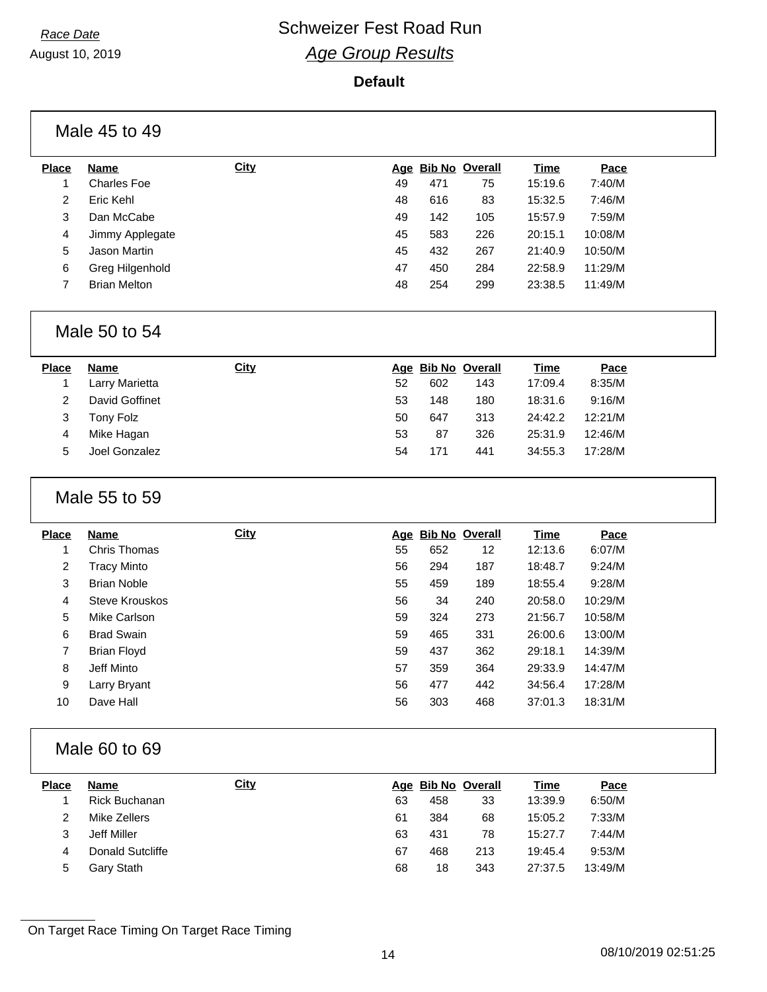**Default**

|                | Male 45 to 49       |             |    |     |                    |             |         |  |
|----------------|---------------------|-------------|----|-----|--------------------|-------------|---------|--|
| <b>Place</b>   | <b>Name</b>         | <b>City</b> |    |     | Age Bib No Overall | <b>Time</b> | Pace    |  |
| 1              | <b>Charles Foe</b>  |             | 49 | 471 | 75                 | 15:19.6     | 7:40/M  |  |
| $\overline{2}$ | Eric Kehl           |             | 48 | 616 | 83                 | 15:32.5     | 7:46/M  |  |
| 3              | Dan McCabe          |             | 49 | 142 | 105                | 15:57.9     | 7:59/M  |  |
| 4              | Jimmy Applegate     |             | 45 | 583 | 226                | 20:15.1     | 10:08/M |  |
| 5              | Jason Martin        |             | 45 | 432 | 267                | 21:40.9     | 10:50/M |  |
| 6              | Greg Hilgenhold     |             | 47 | 450 | 284                | 22:58.9     | 11:29/M |  |
| $\overline{7}$ | <b>Brian Melton</b> |             | 48 | 254 | 299                | 23:38.5     | 11:49/M |  |
|                | Male 50 to 54       |             |    |     |                    |             |         |  |
| <b>Place</b>   | <b>Name</b>         | <b>City</b> |    |     | Age Bib No Overall | Time        | Pace    |  |

| riace. | <b>NATIE</b>   | <u><b><u>vity</u></b></u> |    | Aye DIN NO OVEIAII |     | r       | <u>race</u> |  |
|--------|----------------|---------------------------|----|--------------------|-----|---------|-------------|--|
|        | Larry Marietta |                           | 52 | 602                | 143 | 17:09.4 | 8:35/M      |  |
|        | David Goffinet |                           | 53 | 148                | 180 | 18:31.6 | 9:16/M      |  |
|        | Tony Folz      |                           | 50 | 647                | 313 | 24:42.2 | 12:21/M     |  |
| 4      | Mike Hagan     |                           | 53 | 87                 | 326 | 25:31.9 | 12:46/M     |  |
| 5      | Joel Gonzalez  |                           | 54 | 171                | 441 | 34:55.3 | 17:28/M     |  |
|        |                |                           |    |                    |     |         |             |  |

## Male 55 to 59

| <b>Place</b>   | <b>Name</b>        | <b>City</b> | Age | <b>Bib No Overall</b> |     | <b>Time</b> | Pace    |
|----------------|--------------------|-------------|-----|-----------------------|-----|-------------|---------|
|                | Chris Thomas       |             | 55  | 652                   | 12  | 12:13.6     | 6:07/M  |
| $\overline{2}$ | Tracy Minto        |             | 56  | 294                   | 187 | 18:48.7     | 9:24/M  |
| 3              | <b>Brian Noble</b> |             | 55  | 459                   | 189 | 18:55.4     | 9:28/M  |
| 4              | Steve Krouskos     |             | 56  | 34                    | 240 | 20:58.0     | 10:29/M |
| 5              | Mike Carlson       |             | 59  | 324                   | 273 | 21:56.7     | 10:58/M |
| 6              | <b>Brad Swain</b>  |             | 59  | 465                   | 331 | 26:00.6     | 13:00/M |
| 7              | Brian Floyd        |             | 59  | 437                   | 362 | 29:18.1     | 14:39/M |
| 8              | Jeff Minto         |             | 57  | 359                   | 364 | 29:33.9     | 14:47/M |
| 9              | Larry Bryant       |             | 56  | 477                   | 442 | 34:56.4     | 17:28/M |
| 10             | Dave Hall          |             | 56  | 303                   | 468 | 37:01.3     | 18:31/M |

## Male 60 to 69

| <b>Place</b> | Name             | <b>City</b> |    | Age Bib No Overall |     | Time    | Pace    |
|--------------|------------------|-------------|----|--------------------|-----|---------|---------|
|              | Rick Buchanan    |             | 63 | 458                | 33  | 13:39.9 | 6:50/M  |
| 2            | Mike Zellers     |             | 61 | 384                | 68  | 15:05.2 | 7:33/M  |
| 3            | Jeff Miller      |             | 63 | 431                | 78  | 15:27.7 | 7:44/M  |
| 4            | Donald Sutcliffe |             | 67 | 468                | 213 | 19:45.4 | 9:53/M  |
| 5            | Gary Stath       |             | 68 | 18                 | 343 | 27:37.5 | 13:49/M |